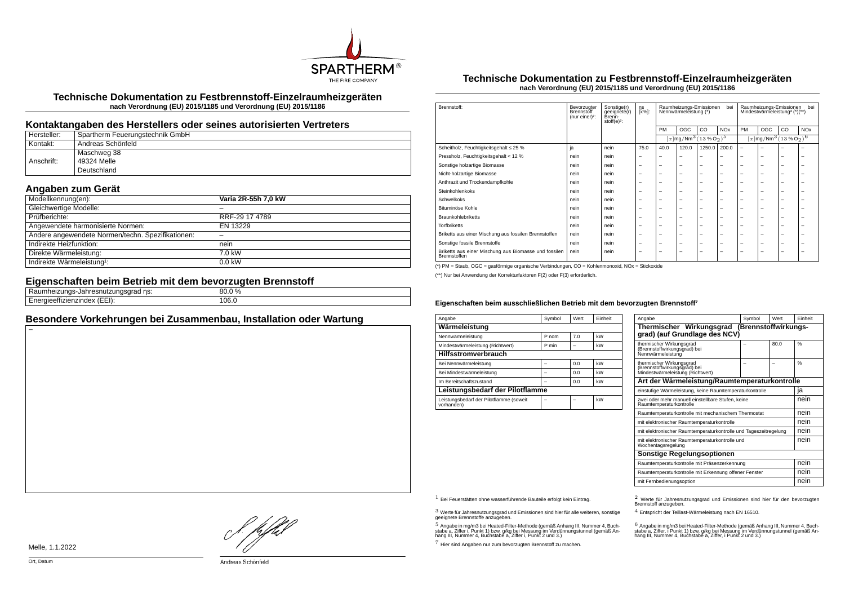

**Technische Dokumentation zu Festbrennstoff-Einzelraumheizgeräten nach Verordnung (EU) 2015/1185 und Verordnung (EU) 2015/1186**

### **Kontaktangaben des Herstellers oder seines autorisierten Vertreters**

| Hersteller: | Spartherm Feuerungstechnik GmbH |
|-------------|---------------------------------|
| Kontakt:    | Andreas Schönfeld               |
|             | Maschweg 38                     |
| Anschrift:  | 49324 Melle                     |
|             | Deutschland                     |

# **Angaben zum Gerät**

| Modellkennung(en):                                | Varia 2R-55h 7,0 kW |
|---------------------------------------------------|---------------------|
| Gleichwertige Modelle:                            |                     |
| Prüfberichte:                                     | RRF-29 17 4789      |
| Angewendete harmonisierte Normen:                 | EN 13229            |
| Andere angewendete Normen/techn. Spezifikationen: |                     |
| Indirekte Heizfunktion:                           | nein                |
| Direkte Wärmeleistung:                            | 7.0 kW              |
| Indirekte Wärmeleistung <sup>1</sup> :            | $0.0$ kW            |

#### **Eigenschaften beim Betrieb mit dem bevorzugten Brennstoff**

| $\cdots$<br>ns:<br>zunu:<br>au millesnukkungsyrau m<br>.<br>. | $\sim$ $\sim$<br>`<br>30.0 % |
|---------------------------------------------------------------|------------------------------|
| $\sqrt{2}$<br><br>.<br>.<br>.nzingex<br>. <i>.</i> .          | 106.0                        |

## **Besondere Vorkehrungen bei Zusammenbau, Installation oder Wartung**

#### **Technische Dokumentation zu Festbrennstoff-Einzelraumheizgeräten nach Verordnung (EU) 2015/1185 und Verordnung (EU) 2015/1186**

| Brennstoff:                                                           | Bevorzugter<br>Brennstoff<br>(nur einer) <sup>2</sup> : | Sonstige(r)<br>geeignete(r)<br>Brenn-<br>stoff $(e)^3$ : | ηs<br>[x%]: | Raumheizungs-Emissionen<br>bei<br>Nennwärmeleistung (*) |                                                                   |                          |                       | Raumheizungs-Emissionen<br>bei<br>Mindestwärmeleistung <sup>4</sup> (*)(**) |     |    |                       |
|-----------------------------------------------------------------------|---------------------------------------------------------|----------------------------------------------------------|-------------|---------------------------------------------------------|-------------------------------------------------------------------|--------------------------|-----------------------|-----------------------------------------------------------------------------|-----|----|-----------------------|
|                                                                       |                                                         |                                                          |             | PM                                                      | OGC                                                               | CO.                      | <b>NO<sub>x</sub></b> | PM                                                                          | OGC | CO | <b>NO<sub>x</sub></b> |
|                                                                       |                                                         |                                                          |             |                                                         | $[x \, \text{mg}/\text{Nm}^3 \, (13 \, \text{%} \, \text{O}_2)^5$ |                          |                       | $[x \text{mg}/\text{Nm}^3 \text{ (13 %O2)}^6$                               |     |    |                       |
| Scheitholz, Feuchtigkeitsgehalt ≤ 25 %                                | ja                                                      | nein                                                     | 75.0        | 40.0                                                    | 120.0                                                             | 1250.0                   | 200.0                 | $\overline{\phantom{0}}$                                                    | ۰   |    |                       |
| Pressholz, Feuchtigkeitsgehalt < 12 %                                 | nein                                                    | nein                                                     | -           |                                                         | -                                                                 | -                        |                       |                                                                             | -   | -  | -                     |
| Sonstige holzartige Biomasse                                          | nein                                                    | nein                                                     | -           | -                                                       | $\overline{\phantom{a}}$                                          | $\overline{\phantom{0}}$ | -                     | -                                                                           | -   | -  | -                     |
| Nicht-holzartige Biomasse                                             | nein                                                    | nein                                                     | -           | -                                                       | -                                                                 | $\overline{\phantom{0}}$ | -                     | -                                                                           | -   | -  | -                     |
| Anthrazit und Trockendampfkohle                                       | nein                                                    | nein                                                     | -           | -                                                       | $\overline{\phantom{a}}$                                          | $\overline{\phantom{0}}$ | -                     | -                                                                           | -   | -  | -                     |
| Steinkohlenkoks                                                       | nein                                                    | nein                                                     | -           | -                                                       | $\overline{\phantom{a}}$                                          | $\overline{\phantom{0}}$ | -                     | -                                                                           | -   | -  | -                     |
| Schwelkoks                                                            | nein                                                    | nein                                                     | -           | -                                                       | -                                                                 | -                        | -                     | -                                                                           | -   | -  | ۰                     |
| Bituminöse Kohle                                                      | nein                                                    | nein                                                     | -           | -                                                       | -                                                                 | -                        | -                     | -                                                                           | -   | -  | -                     |
| <b>Braunkohlebriketts</b>                                             | nein                                                    | nein                                                     | -           | -                                                       | $\overline{\phantom{a}}$                                          | $\overline{\phantom{0}}$ | -                     | -                                                                           | -   | -  | -                     |
| <b>Torfbriketts</b>                                                   | nein                                                    | nein                                                     | -           | -                                                       | $\overline{\phantom{a}}$                                          | $\overline{\phantom{0}}$ | -                     | -                                                                           | -   | -  | -                     |
| Briketts aus einer Mischung aus fossilen Brennstoffen                 | nein                                                    | nein                                                     | -           | -                                                       | $\overline{\phantom{a}}$                                          | $\overline{\phantom{0}}$ | -                     | -                                                                           | -   | -  | -                     |
| Sonstige fossile Brennstoffe                                          | nein                                                    | nein                                                     | -           | -                                                       | $\overline{\phantom{a}}$                                          | $\overline{\phantom{0}}$ | -                     | -                                                                           | -   | -  | -                     |
| Briketts aus einer Mischung aus Biomasse und fossilen<br>Brennstoffen | nein                                                    | nein                                                     | -           | -                                                       | -                                                                 | -                        | -                     | -                                                                           | -   | -  | -                     |

(\*) PM = Staub, OGC = gasförmige organische Verbindungen, CO = Kohlenmonoxid, NOx = Stickoxide

(\*\*) Nur bei Anwendung der Korrekturfaktoren F(2) oder F(3) erforderlich.

#### Eigenschaften beim ausschließlichen Betrieb mit dem bevorzugten Brennstoff<sup>7</sup>

| Angabe                                                | Symbol | Wert | Finheit |  |  |  |  |
|-------------------------------------------------------|--------|------|---------|--|--|--|--|
| Wärmeleistung                                         |        |      |         |  |  |  |  |
| Nennwärmeleistung                                     | P nom  | 7.0  | kW      |  |  |  |  |
| Mindestwärmeleistung (Richtwert)                      | P min  |      | kW      |  |  |  |  |
| <b>Hilfsstromverbrauch</b>                            |        |      |         |  |  |  |  |
| Bei Nennwärmeleistung                                 |        | 0.0  | kW      |  |  |  |  |
| Bei Mindestwärmeleistung                              |        | 0.0  | kW      |  |  |  |  |
| Im Bereitschaftszustand                               |        | 0.0  | kW      |  |  |  |  |
| Leistungsbedarf der Pilotflamme                       |        |      |         |  |  |  |  |
| Leistungsbedarf der Pilotflamme (soweit<br>vorhanden) |        |      | kW      |  |  |  |  |

| Angabe                                                                                       | Symbol | Wert | Finheit       |  |  |  |
|----------------------------------------------------------------------------------------------|--------|------|---------------|--|--|--|
| Thermischer Wirkungsgrad (Brennstoffwirkungs-<br>grad) (auf Grundlage des NCV)               |        |      |               |  |  |  |
| thermischer Wirkungsgrad<br>(Brennstoffwirkungsgrad) bei<br>Nennwärmeleistung                |        | 80.0 | $\frac{0}{6}$ |  |  |  |
| thermischer Wirkungsgrad<br>(Brennstoffwirkungsgrad) bei<br>Mindestwärmeleistung (Richtwert) |        |      | $\frac{9}{6}$ |  |  |  |
| Art der Wärmeleistung/Raumtemperaturkontrolle                                                |        |      |               |  |  |  |
| einstufige Wärmeleistung, keine Raumtemperaturkontrolle                                      |        |      |               |  |  |  |
| zwei oder mehr manuell einstellbare Stufen, keine<br>Raumtemperaturkontrolle                 |        |      |               |  |  |  |
| Raumtemperaturkontrolle mit mechanischem Thermostat                                          |        |      | nein          |  |  |  |
| mit elektronischer Raumtemperaturkontrolle                                                   |        |      | nein          |  |  |  |
| mit elektronischer Raumtemperaturkontrolle und Tageszeitregelung                             |        |      | nein          |  |  |  |
| mit elektronischer Raumtemperaturkontrolle und<br>Wochentagsregelung                         |        |      |               |  |  |  |
| Sonstige Regelungsoptionen                                                                   |        |      |               |  |  |  |
| Raumtemperaturkontrolle mit Präsenzerkennung                                                 | nein   |      |               |  |  |  |
| Raumtemperaturkontrolle mit Erkennung offener Fenster                                        |        |      |               |  |  |  |
| mit Fernbedienungsoption                                                                     |        |      |               |  |  |  |

 $3$  Werte für Jahresnutzungsgrad und Emissionen sind hier für alle weiteren, sonstige geeignete Brennstoffe anzugeben.

 $5$  Angabe in mg/m3 bei Heated-Filter-Methode (gemäß Anhang III, Nummer 4, Buchstabe a, Ziffer i, Punkt 1) bzw. g/kg bei Messung im Verdünnungstunnel (gemäß An-hang III, Nummer 4, Buchstabe a, Ziffer i, Punkt 2 und 3.)

7 Hier sind Angaben nur zum bevorzugten Brennstoff zu machen.

1 Bei Feuerstätten ohne wasserführende Bauteile erfolgt kein Eintrag. 2 Werte für Jahresnutzungsgrad und Emissionen sind hier für den bevorzugten Brennstoff anzugeben.

4 Entspricht der Teillast-Wärmeleistung nach EN 16510.

.<br>stabe a, Ziffer, i Punkt 1) bzw. g/kg bei Messung im Verdünnungstunnel (gemäß An-<br>hang III, Nummer 4, Buchstabe a, Ziffer, i Punkt 2 und 3.)<br>hang III, Nummer 4, Buchstabe a, Ziffer, i Punkt 2 und 3.)

Melle, 1.1.2022

}. pfbH

Andreas Schönfeld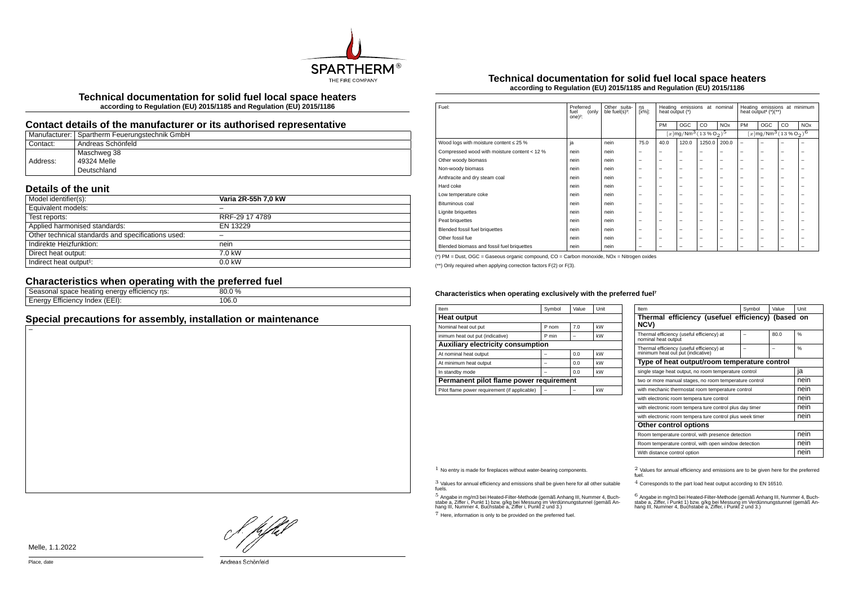

**Technical documentation for solid fuel local space heaters according to Regulation (EU) 2015/1185 and Regulation (EU) 2015/1186**

## **Contact details of the manufacturer or its authorised representative**

|          | Manufacturer: Spartherm Feuerungstechnik GmbH |
|----------|-----------------------------------------------|
| Contact: | Andreas Schönfeld                             |
|          | Maschweg 38                                   |
| Address: | 49324 Melle                                   |
|          | Deutschland                                   |

# **Details of the unit**

| Model identifier(s):                               | Varia 2R-55h 7.0 kW |
|----------------------------------------------------|---------------------|
| Equivalent models:                                 |                     |
| Test reports:                                      | RRF-29 17 4789      |
| Applied harmonised standards:                      | EN 13229            |
| Other technical standards and specifications used: |                     |
| Indirekte Heizfunktion:                            | nein                |
| Direct heat output:                                | 7.0 kW              |
| Indirect heat output <sup>1</sup> :                | $0.0$ kW            |

# **Characteristics when operating with the preferred fuel**

| emcienc<br>.<br>$\mathbf{H}$<br>115.<br>e neating<br>suate<br>ד ומוווה. | $\sim 0/2$<br>nu |
|-------------------------------------------------------------------------|------------------|
| $\sim$<br>(EEI):<br>∠mcienc∨<br>−neruv ∟<br>пиех"                       | 106.0<br>.       |
|                                                                         |                  |

# **Special precautions for assembly, installation or maintenance**

### **Technical documentation for solid fuel local space heaters according to Regulation (EU) 2015/1185 and Regulation (EU) 2015/1186**

| Fuel:                                        | Preferred<br>(only<br>fuel<br>one $)^2$ : | Other suita-<br>ble fuel(s) <sup>3</sup> : | ηs<br>[x%]:              | Heating emissions<br>at nominal<br>heat output (*) |                                                   |                          |                          | Heating emissions at minimum<br>heat output <sup>4</sup> $(*)$ (**) |     |    |                       |
|----------------------------------------------|-------------------------------------------|--------------------------------------------|--------------------------|----------------------------------------------------|---------------------------------------------------|--------------------------|--------------------------|---------------------------------------------------------------------|-----|----|-----------------------|
|                                              |                                           |                                            |                          | PM                                                 | OGC                                               | CO                       | <b>NO<sub>x</sub></b>    | PM                                                                  | OGC | CO | <b>NO<sub>x</sub></b> |
|                                              |                                           |                                            |                          |                                                    | $[x \, \text{mg}/\text{Nm}^3 \, \text{(13%02)}^5$ |                          |                          | $[x]$ mg/Nm <sup>3</sup> (13 % O <sub>2</sub> ) <sup>6</sup>        |     |    |                       |
| Wood logs with moisture content $\leq 25$ %  | ja                                        | nein                                       | 75.0                     | 40.0                                               | 120.0                                             | 1250.0                   | 200.0                    | $\overline{\phantom{m}}$                                            | -   | -  | -                     |
| Compressed wood with moisture content < 12 % | nein                                      | nein                                       |                          | -                                                  | $\overline{\phantom{0}}$                          | $\overline{\phantom{0}}$ | $\overline{\phantom{0}}$ | $\overline{\phantom{0}}$                                            | -   | -  | -                     |
| Other woody biomass                          | nein                                      | nein                                       | -                        | -                                                  | -                                                 | $\overline{\phantom{0}}$ | $\overline{\phantom{0}}$ | $\overline{\phantom{0}}$                                            | -   | -  | -                     |
| Non-woody biomass                            | nein                                      | nein                                       | -                        | -                                                  | -                                                 | $\overline{\phantom{0}}$ | $\overline{\phantom{0}}$ | $\overline{\phantom{0}}$                                            | -   | -  | -                     |
| Anthracite and dry steam coal                | nein                                      | nein                                       |                          | $\overline{\phantom{0}}$                           | $\overline{\phantom{0}}$                          | $\overline{\phantom{m}}$ | $\overline{\phantom{m}}$ | $\overline{\phantom{0}}$                                            | -   | -  | -                     |
| Hard coke                                    | nein                                      | nein                                       | -                        | -                                                  | -                                                 | -                        | $\overline{\phantom{0}}$ | $\overline{\phantom{0}}$                                            | -   | -  | ۰                     |
| Low temperature coke                         | nein                                      | nein                                       | -                        | -                                                  | -                                                 | -                        | $\overline{\phantom{0}}$ | $\overline{\phantom{0}}$                                            | -   | -  | -                     |
| Bituminous coal                              | nein                                      | nein                                       | -                        | -                                                  | -                                                 | -                        | $\overline{\phantom{0}}$ | $\overline{\phantom{0}}$                                            | -   | -  | -                     |
| <b>Lignite briquettes</b>                    | nein                                      | nein                                       | -                        | -                                                  | -                                                 | -                        | $\overline{\phantom{0}}$ | $\overline{\phantom{0}}$                                            | -   | -  | -                     |
| Peat briquettes                              | nein                                      | nein                                       | -                        | -                                                  | -                                                 | -                        | $\overline{\phantom{0}}$ | $\overline{\phantom{0}}$                                            | -   | -  | -                     |
| Blended fossil fuel briquettes               | nein                                      | nein                                       |                          | -                                                  | $\overline{\phantom{0}}$                          | $\overline{\phantom{m}}$ | $\overline{\phantom{m}}$ | $\overline{\phantom{0}}$                                            | -   | -  | -                     |
| Other fossil fue                             | nein                                      | nein                                       | -                        | -                                                  | -                                                 | $\overline{\phantom{0}}$ | $\overline{\phantom{0}}$ | $\overline{\phantom{0}}$                                            | -   | -  | -                     |
| Blended biomass and fossil fuel briquettes   | nein                                      | nein                                       | $\overline{\phantom{0}}$ | -                                                  | -                                                 | -                        | $\overline{\phantom{0}}$ | $\overline{\phantom{0}}$                                            | -   | -  | -                     |

(\*) PM = Dust, OGC = Gaseous organic compound, CO = Carbon monoxide, NOx = Nitrogen oxides

(\*\*) Only required when applying correction factors F(2) or F(3).

#### Characteristics when operating exclusively with the preferred fuel<sup>7</sup>

| Item                                          | Symbol | Value | Unit |  |  |  |
|-----------------------------------------------|--------|-------|------|--|--|--|
| <b>Heat output</b>                            |        |       |      |  |  |  |
| Nominal heat out put                          | P nom  | 7.0   | kW   |  |  |  |
| inimum heat out put (indicative)              | P min  |       | kW   |  |  |  |
| <b>Auxiliary electricity consumption</b>      |        |       |      |  |  |  |
| At nominal heat output                        |        | 0.0   | kW   |  |  |  |
| At minimum heat output                        |        | 0.0   | kW   |  |  |  |
| In standby mode                               |        | 0.0   | kW   |  |  |  |
| Permanent pilot flame power requirement       |        |       |      |  |  |  |
| Pilot flame power requirement (if applicable) |        |       | kW   |  |  |  |

| Item                                                                           | Symbol                                                    | Value | Unit          |  |  |  |
|--------------------------------------------------------------------------------|-----------------------------------------------------------|-------|---------------|--|--|--|
| Thermal efficiency (usefuel efficiency) (based on<br>NCV)                      |                                                           |       |               |  |  |  |
| Thermal efficiency (useful efficiency) at<br>nominal heat output               |                                                           | 80.0  | 0/6           |  |  |  |
| Thermal efficiency (useful efficiency) at<br>minimum heat out put (indicative) |                                                           |       | $\frac{0}{6}$ |  |  |  |
| Type of heat output/room temperature control                                   |                                                           |       |               |  |  |  |
| single stage heat output, no room temperature control                          | ıa                                                        |       |               |  |  |  |
| two or more manual stages, no room temperature control                         | nein                                                      |       |               |  |  |  |
| with mechanic thermostat room temperature control                              | nein                                                      |       |               |  |  |  |
| with electronic room tempera ture control                                      |                                                           |       | nein          |  |  |  |
| with electronic room tempera ture control plus day timer                       | nein                                                      |       |               |  |  |  |
|                                                                                | with electronic room tempera ture control plus week timer |       |               |  |  |  |
| Other control options                                                          |                                                           |       |               |  |  |  |
| Room temperature control, with presence detection                              | nein                                                      |       |               |  |  |  |
| Room temperature control, with open window detection                           | nein                                                      |       |               |  |  |  |
| With distance control option                                                   |                                                           |       | nein          |  |  |  |

3 Values for annual efficiency and emissions shall be given here for all other suitable fuels.

.<br>5 Angabe a, Ziffer i, Punkt 1) bzw. g/kg bei Messung im Verdünnungstunnel (gemäß An-<br>hang III, Nummer 4, Buchstabe a, Ziffer i, Punkt 2 und 3.)<br>hang III, Nummer 4, Buchstabe a, Ziffer i, Punkt 2 und 3.)

7 Here, information is only to be provided on the preferred fuel.

 $1$  No entry is made for fireplaces without water-bearing components.  $2$  Values for annual efficiency and emissions are to be given here for the preferred fuel.

4 Corresponds to the part load heat output according to EN 16510.

.<br>stabe a, Ziffer, i Punkt 1) bzw. g/kg bei Messung im Verdünnungstunner 4, Buch-<br>hang III, Nummer 4, Buchstabe a, Ziffer, i Punkt 2 und 3.)<br>hang III, Nummer 4, Buchstabe a, Ziffer, i Punkt 2 und 3.)

L pfhil

Melle, 1.1.2022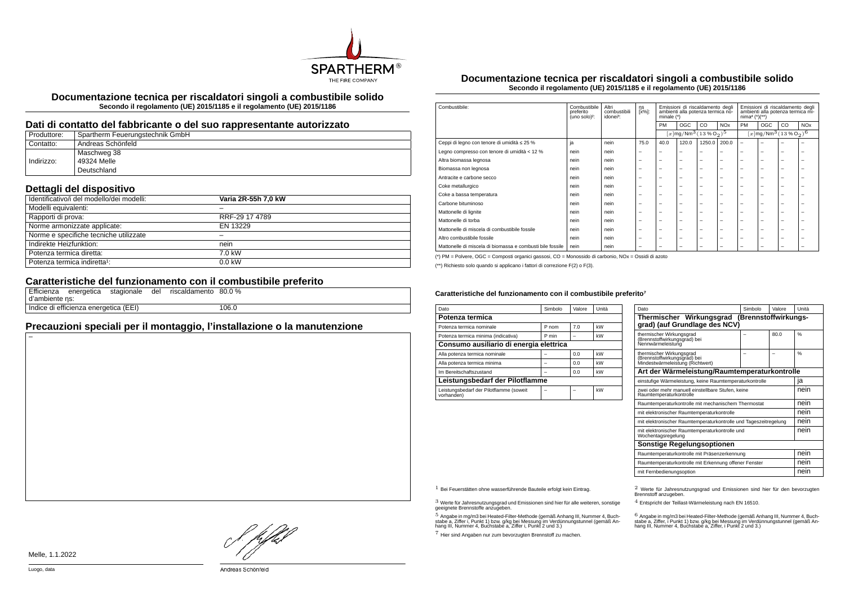

**Documentazione tecnica per riscaldatori singoli a combustibile solido Secondo il regolamento (UE) 2015/1185 e il regolamento (UE) 2015/1186**

#### **Dati di contatto del fabbricante o del suo rappresentante autorizzato**

| Produttore: | Spartherm Feuerungstechnik GmbH |
|-------------|---------------------------------|
| Contatto:   | Andreas Schönfeld               |
|             | Maschweg 38                     |
| Indirizzo:  | 49324 Melle                     |
|             | Deutschland                     |

## **Dettagli del dispositivo**

| Identificativo/i del modello/dei modelli: | Varia 2R-55h 7.0 kW |  |
|-------------------------------------------|---------------------|--|
| Modelli equivalenti:                      |                     |  |
| Rapporti di prova:                        | RRF-29 17 4789      |  |
| Norme armonizzate applicate:              | EN 13229            |  |
| Norme e specifiche tecniche utilizzate    |                     |  |
| Indirekte Heizfunktion:                   | nein                |  |
| Potenza termica diretta:                  | 7.0 kW              |  |
| Potenza termica indiretta <sup>1</sup> :  | $0.0$ kW            |  |

### **Caratteristiche del funzionamento con il combustibile preferito**

| d'ambiente ns: | Efficienza energetica stagionale del  |  | riscaldamento 80.0 % |       |
|----------------|---------------------------------------|--|----------------------|-------|
|                | Indice di efficienza energetica (EEI) |  |                      | 106.0 |

# **Precauzioni speciali per il montaggio, l'installazione o la manutenzione**

**Documentazione tecnica per riscaldatori singoli a combustibile solido Secondo il regolamento (UE) 2015/1185 e il regolamento (UE) 2015/1186**

| Combustibile:                                             | Combustibile<br>preferito<br>(uno solo) <sup>2</sup> : | Altri<br>combustibili<br>idonei <sup>3</sup> : | ηs<br>[x%]:              | Emissioni di riscaldamento degli<br>ambienti alla potenza termica no-<br>minale (*) |                          | Emissioni di riscaldamento degli<br>ambienti alla potenza termica mi-<br>$nima4 (*)(**)$ |                       |                                                       |                          |    |                       |
|-----------------------------------------------------------|--------------------------------------------------------|------------------------------------------------|--------------------------|-------------------------------------------------------------------------------------|--------------------------|------------------------------------------------------------------------------------------|-----------------------|-------------------------------------------------------|--------------------------|----|-----------------------|
|                                                           |                                                        |                                                |                          | PM                                                                                  | OGC                      | CO                                                                                       | <b>NO<sub>x</sub></b> | <b>PM</b>                                             | OGC                      | CO | <b>NO<sub>x</sub></b> |
|                                                           |                                                        |                                                |                          |                                                                                     |                          | $[x]$ mg/Nm <sup>3</sup> $(13\%$ O <sub>2</sub> ) <sup>5</sup>                           |                       | $\sqrt{[x] \text{mg}/\text{Nm}^3 (13\%\text{O}_2)^6}$ |                          |    |                       |
| Ceppi di legno con tenore di umidità ≤ 25 %               | ja                                                     | nein                                           | 75.0                     | 40.0                                                                                | 120.0                    | 1250.0                                                                                   | 200.0                 | ۰                                                     | ۰                        |    |                       |
| Legno compresso con tenore di umidità < 12 %              | nein                                                   | nein                                           | $\overline{\phantom{0}}$ | $\overline{\phantom{a}}$                                                            | $\overline{\phantom{a}}$ | -                                                                                        | -                     | -                                                     | $\overline{\phantom{0}}$ | -  | -                     |
| Altra biomassa legnosa                                    | nein                                                   | nein                                           | $\overline{\phantom{0}}$ | $\overline{\phantom{0}}$                                                            | $\overline{\phantom{a}}$ | -                                                                                        | -                     | -                                                     | -                        | -  |                       |
| Biomassa non legnosa                                      | nein                                                   | nein                                           | $\overline{\phantom{0}}$ | $\overline{\phantom{0}}$                                                            | $\overline{\phantom{a}}$ | -                                                                                        | -                     | -                                                     | $\overline{\phantom{0}}$ | -  |                       |
| Antracite e carbone secco                                 | nein                                                   | nein                                           | $\overline{\phantom{0}}$ | $\overline{\phantom{a}}$                                                            | $\overline{\phantom{a}}$ | -                                                                                        | -                     | -                                                     | -                        | -  |                       |
| Coke metallurgico                                         | nein                                                   | nein                                           | $\overline{\phantom{0}}$ | $\overline{\phantom{0}}$                                                            | $\overline{\phantom{a}}$ | -                                                                                        | -                     | -                                                     | -                        | -  |                       |
| Coke a bassa temperatura                                  | nein                                                   | nein                                           | $\overline{\phantom{0}}$ | $\overline{\phantom{0}}$                                                            | $\overline{\phantom{a}}$ | -                                                                                        | -                     | -                                                     | -                        | -  |                       |
| Carbone bituminoso                                        | nein                                                   | nein                                           | $\overline{\phantom{0}}$ | $\overline{\phantom{0}}$                                                            | $\overline{\phantom{a}}$ | -                                                                                        | -                     | $\overline{\phantom{0}}$                              | $\overline{\phantom{0}}$ | -  |                       |
| Mattonelle di lignite                                     | nein                                                   | nein                                           | $\overline{\phantom{0}}$ | $\overline{\phantom{0}}$                                                            | $\overline{\phantom{a}}$ | -                                                                                        | -                     | -                                                     | -                        | -  |                       |
| Mattonelle di torba                                       | nein                                                   | nein                                           | $\overline{\phantom{0}}$ | $\overline{\phantom{0}}$                                                            | $\overline{\phantom{a}}$ | -                                                                                        | -                     | -                                                     | -                        | -  |                       |
| Mattonelle di miscela di combustibile fossile             | nein                                                   | nein                                           | $\overline{\phantom{0}}$ | $\overline{\phantom{0}}$                                                            | $\overline{\phantom{0}}$ | -                                                                                        | -                     | $\overline{\phantom{a}}$                              | $\overline{\phantom{0}}$ | -  | -                     |
| Altro combustibile fossile                                | nein                                                   | nein                                           | $\overline{\phantom{0}}$ | $\overline{\phantom{0}}$                                                            | $\overline{\phantom{0}}$ | -                                                                                        | -                     | $\overline{\phantom{a}}$                              | -                        | -  | -                     |
| Mattonelle di miscela di biomassa e combusti bile fossile | nein                                                   | nein                                           | $\overline{\phantom{0}}$ | $\overline{\phantom{0}}$                                                            | $\overline{\phantom{0}}$ | -                                                                                        | -                     | -                                                     | -                        | -  |                       |

(\*) PM = Polvere, OGC = Composti organici gassosi, CO = Monossido di carbonio, NOx = Ossidi di azoto

(\*\*) Richiesto solo quando si applicano i fattori di correzione F(2) o F(3).

#### Caratteristiche del funzionamento con il combustibile preferito<sup>7</sup>

| Dato                                                  | Simbolo | Valore | Unità |  |  |  |
|-------------------------------------------------------|---------|--------|-------|--|--|--|
| Potenza termica                                       |         |        |       |  |  |  |
| Potenza termica nominale                              | P nom   | 7.0    | kW    |  |  |  |
| Potenza termica minima (indicativa)                   | P min   |        | kW    |  |  |  |
| Consumo ausiliario di energia elettrica               |         |        |       |  |  |  |
| Alla potenza termica nominale                         |         | 0.0    | kW    |  |  |  |
| Alla potenza termica minima                           |         | 0.0    | kW    |  |  |  |
| Im Bereitschaftszustand                               |         | 0.0    | kW    |  |  |  |
| Leistungsbedarf der Pilotflamme                       |         |        |       |  |  |  |
| Leistungsbedarf der Pilotflamme (soweit<br>vorhanden) |         |        | kW    |  |  |  |
|                                                       |         |        |       |  |  |  |

| Dato                                                                                         | Simbolo | Valore | Unità |  |  |  |  |
|----------------------------------------------------------------------------------------------|---------|--------|-------|--|--|--|--|
| Thermischer Wirkungsgrad (Brennstoffwirkungs-<br>grad) (auf Grundlage des NCV)               |         |        |       |  |  |  |  |
| thermischer Wirkungsgrad<br>(Brennstoffwirkungsgrad) bei<br>Nennwärmeleistung                |         | 80.0   | 0/6   |  |  |  |  |
| thermischer Wirkungsgrad<br>(Brennstoffwirkungsgrad) bei<br>Mindestwärmeleistung (Richtwert) |         |        | 0/6   |  |  |  |  |
| Art der Wärmeleistung/Raumtemperaturkontrolle                                                |         |        |       |  |  |  |  |
| einstufige Wärmeleistung, keine Raumtemperaturkontrolle                                      |         |        | ia    |  |  |  |  |
| zwei oder mehr manuell einstellbare Stufen, keine<br>Raumtemperaturkontrolle                 |         |        |       |  |  |  |  |
| Raumtemperaturkontrolle mit mechanischem Thermostat                                          |         |        | nein  |  |  |  |  |
| mit elektronischer Raumtemperaturkontrolle                                                   |         |        | nein  |  |  |  |  |
| mit elektronischer Raumtemperaturkontrolle und Tageszeitregelung                             |         |        | nein  |  |  |  |  |
| mit elektronischer Raumtemperaturkontrolle und<br>Wochentagsregelung                         |         |        | nein  |  |  |  |  |
| Sonstige Regelungsoptionen                                                                   |         |        |       |  |  |  |  |
| Raumtemperaturkontrolle mit Präsenzerkennung                                                 |         |        |       |  |  |  |  |
| Raumtemperaturkontrolle mit Erkennung offener Fenster                                        |         |        | nein  |  |  |  |  |
| mit Fernbedienungsoption                                                                     |         |        | nein  |  |  |  |  |

3 Werte für Jahresnutzungsgrad und Emissionen sind hier für alle weiteren, sonstige geeignete Brennstoffe anzugeben.

.<br>5 Angabe in mg/m3 bei Heated-Filter-Methode (gemäß Anhang III, Nummer 4, Buch-<br>stabe a, Ziffer i, Punkt 1) bzw. g/kg bei Nessung im Verdünnungstunnel (gemäß An-<br>hang III, Nummer 4, Buchstabe a, Ziffer i, Punkt 2 und 3.)

7 Hier sind Angaben nur zum bevorzugten Brennstoff zu machen.

1 Bei Feuerstätten ohne wasserführende Bauteile erfolgt kein Eintrag. 2 Werte für Jahresnutzungsgrad und Emissionen sind hier für den bevorzugten Brennstoff anzugeben.

4 Entspricht der Teillast-Wärmeleistung nach EN 16510.

.<br>stabe a, Ziffer, i Punkt 1) bzw. g/kg bei Messung im Verdünnungstunnel (gemäß An-<br>hang III, Nummer 4, Buchstabe a, Ziffer, i Punkt 2 und 3.)<br>hang III, Nummer 4, Buchstabe a, Ziffer, i Punkt 2 und 3.)

hDel